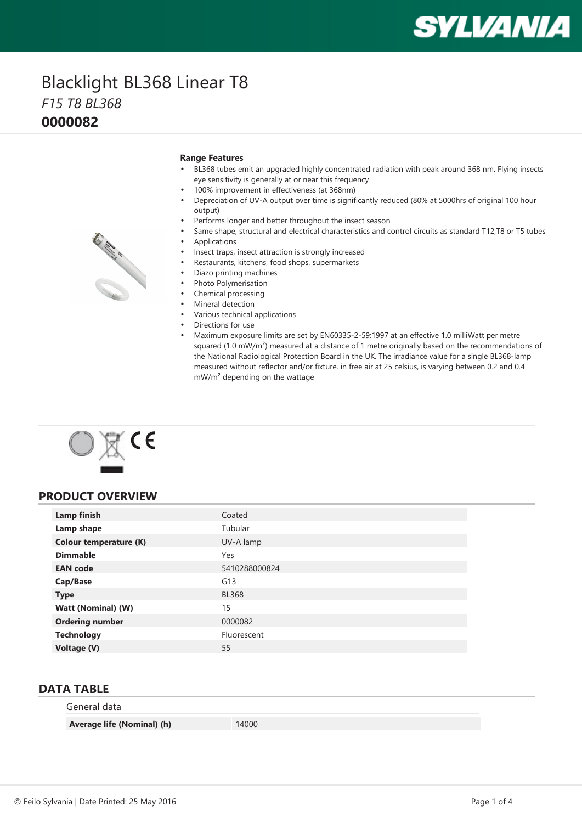# **SYLVANIA**

### Blacklight BL368 Linear T8 *F15 T8 BL368* **0000082**

#### **Range Features**

- BL368 tubes emit an upgraded highly concentrated radiation with peak around 368 nm. Flying insects eye sensitivity is generally at or near this frequency
- •100% improvement in effectiveness (at 368nm)
- • Depreciation of UV-A output over time is significantly reduced (80% at 5000hrs of original 100 hour output)
- •Performs longer and better throughout the insect season
- • Same shape, structural and electrical characteristics and control circuits as standard T12,T8 or T5 tubes •Applications
- •Insect traps, insect attraction is strongly increased
- •Restaurants, kitchens, food shops, supermarkets
- •Diazo printing machines
- •Photo Polymerisation
- •Chemical processing
- •Mineral detection
- Various technical applications
- Directions for use
- Maximum exposure limits are set by EN60335-2-59:1997 at an effective 1.0 milliWatt per metre squared (1.0 mW/m<sup>2</sup>) measured at a distance of 1 metre originally based on the recommendations of the National Radiological Protection Board in the UK. The irradiance value for <sup>a</sup> single BL368-lamp measured without reflector and/or fixture, in free air at 25 celsius, is varying between 0.2 and 0.4 mW/m<sup>²</sup> depending on the wattage



#### **PRODUCT OVERVIEW**

| Lamp finish                   | Coated        |
|-------------------------------|---------------|
| Lamp shape                    | Tubular       |
| <b>Colour temperature (K)</b> | UV-A lamp     |
| <b>Dimmable</b>               | Yes           |
| <b>EAN</b> code               | 5410288000824 |
| Cap/Base                      | G13           |
| <b>Type</b>                   | <b>BL368</b>  |
| <b>Watt (Nominal) (W)</b>     | 15            |
| <b>Ordering number</b>        | 0000082       |
| <b>Technology</b>             | Fluorescent   |
| Voltage (V)                   | 55            |

#### **DATA TABLE**

| General data               |       |
|----------------------------|-------|
| Average life (Nominal) (h) | 14000 |

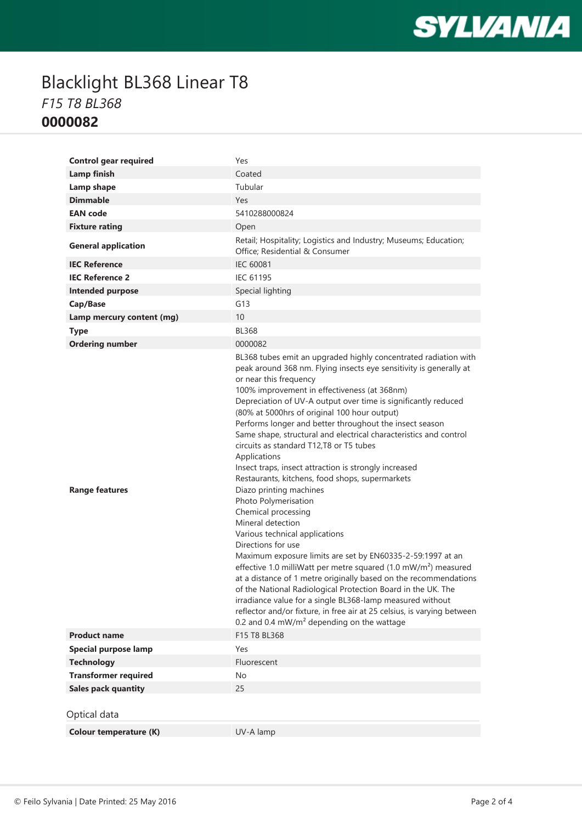

## Blacklight BL368 Linear T8 *F15 T8 BL368* **0000082**

| <b>Control gear required</b>  | Yes                                                                                                                                                                                                                                                                                                                                                                                                                                                                                                                                                                                                                                                                                                                                                                                                                                                                                                                                                                                                                                                                                                                                                                                                                                                                      |
|-------------------------------|--------------------------------------------------------------------------------------------------------------------------------------------------------------------------------------------------------------------------------------------------------------------------------------------------------------------------------------------------------------------------------------------------------------------------------------------------------------------------------------------------------------------------------------------------------------------------------------------------------------------------------------------------------------------------------------------------------------------------------------------------------------------------------------------------------------------------------------------------------------------------------------------------------------------------------------------------------------------------------------------------------------------------------------------------------------------------------------------------------------------------------------------------------------------------------------------------------------------------------------------------------------------------|
| Lamp finish                   | Coated                                                                                                                                                                                                                                                                                                                                                                                                                                                                                                                                                                                                                                                                                                                                                                                                                                                                                                                                                                                                                                                                                                                                                                                                                                                                   |
| Lamp shape                    | Tubular                                                                                                                                                                                                                                                                                                                                                                                                                                                                                                                                                                                                                                                                                                                                                                                                                                                                                                                                                                                                                                                                                                                                                                                                                                                                  |
| <b>Dimmable</b>               | Yes                                                                                                                                                                                                                                                                                                                                                                                                                                                                                                                                                                                                                                                                                                                                                                                                                                                                                                                                                                                                                                                                                                                                                                                                                                                                      |
| <b>EAN</b> code               | 5410288000824                                                                                                                                                                                                                                                                                                                                                                                                                                                                                                                                                                                                                                                                                                                                                                                                                                                                                                                                                                                                                                                                                                                                                                                                                                                            |
| <b>Fixture rating</b>         | Open                                                                                                                                                                                                                                                                                                                                                                                                                                                                                                                                                                                                                                                                                                                                                                                                                                                                                                                                                                                                                                                                                                                                                                                                                                                                     |
| <b>General application</b>    | Retail; Hospitality; Logistics and Industry; Museums; Education;<br>Office; Residential & Consumer                                                                                                                                                                                                                                                                                                                                                                                                                                                                                                                                                                                                                                                                                                                                                                                                                                                                                                                                                                                                                                                                                                                                                                       |
| <b>IEC Reference</b>          | <b>IEC 60081</b>                                                                                                                                                                                                                                                                                                                                                                                                                                                                                                                                                                                                                                                                                                                                                                                                                                                                                                                                                                                                                                                                                                                                                                                                                                                         |
| <b>IEC Reference 2</b>        | <b>IEC 61195</b>                                                                                                                                                                                                                                                                                                                                                                                                                                                                                                                                                                                                                                                                                                                                                                                                                                                                                                                                                                                                                                                                                                                                                                                                                                                         |
| <b>Intended purpose</b>       | Special lighting                                                                                                                                                                                                                                                                                                                                                                                                                                                                                                                                                                                                                                                                                                                                                                                                                                                                                                                                                                                                                                                                                                                                                                                                                                                         |
| Cap/Base                      | G13                                                                                                                                                                                                                                                                                                                                                                                                                                                                                                                                                                                                                                                                                                                                                                                                                                                                                                                                                                                                                                                                                                                                                                                                                                                                      |
| Lamp mercury content (mg)     | 10                                                                                                                                                                                                                                                                                                                                                                                                                                                                                                                                                                                                                                                                                                                                                                                                                                                                                                                                                                                                                                                                                                                                                                                                                                                                       |
| <b>Type</b>                   | <b>BL368</b>                                                                                                                                                                                                                                                                                                                                                                                                                                                                                                                                                                                                                                                                                                                                                                                                                                                                                                                                                                                                                                                                                                                                                                                                                                                             |
| <b>Ordering number</b>        | 0000082                                                                                                                                                                                                                                                                                                                                                                                                                                                                                                                                                                                                                                                                                                                                                                                                                                                                                                                                                                                                                                                                                                                                                                                                                                                                  |
| <b>Range features</b>         | BL368 tubes emit an upgraded highly concentrated radiation with<br>peak around 368 nm. Flying insects eye sensitivity is generally at<br>or near this frequency<br>100% improvement in effectiveness (at 368nm)<br>Depreciation of UV-A output over time is significantly reduced<br>(80% at 5000hrs of original 100 hour output)<br>Performs longer and better throughout the insect season<br>Same shape, structural and electrical characteristics and control<br>circuits as standard T12,T8 or T5 tubes<br>Applications<br>Insect traps, insect attraction is strongly increased<br>Restaurants, kitchens, food shops, supermarkets<br>Diazo printing machines<br>Photo Polymerisation<br>Chemical processing<br>Mineral detection<br>Various technical applications<br>Directions for use<br>Maximum exposure limits are set by EN60335-2-59:1997 at an<br>effective 1.0 milliWatt per metre squared (1.0 mW/m <sup>2</sup> ) measured<br>at a distance of 1 metre originally based on the recommendations<br>of the National Radiological Protection Board in the UK. The<br>irradiance value for a single BL368-lamp measured without<br>reflector and/or fixture, in free air at 25 celsius, is varying between<br>0.2 and 0.4 $mW/m2$ depending on the wattage |
| <b>Product name</b>           | F15 T8 BL368                                                                                                                                                                                                                                                                                                                                                                                                                                                                                                                                                                                                                                                                                                                                                                                                                                                                                                                                                                                                                                                                                                                                                                                                                                                             |
| <b>Special purpose lamp</b>   | Yes                                                                                                                                                                                                                                                                                                                                                                                                                                                                                                                                                                                                                                                                                                                                                                                                                                                                                                                                                                                                                                                                                                                                                                                                                                                                      |
| <b>Technology</b>             | Fluorescent                                                                                                                                                                                                                                                                                                                                                                                                                                                                                                                                                                                                                                                                                                                                                                                                                                                                                                                                                                                                                                                                                                                                                                                                                                                              |
| <b>Transformer required</b>   | No                                                                                                                                                                                                                                                                                                                                                                                                                                                                                                                                                                                                                                                                                                                                                                                                                                                                                                                                                                                                                                                                                                                                                                                                                                                                       |
| <b>Sales pack quantity</b>    | 25                                                                                                                                                                                                                                                                                                                                                                                                                                                                                                                                                                                                                                                                                                                                                                                                                                                                                                                                                                                                                                                                                                                                                                                                                                                                       |
| Optical data                  |                                                                                                                                                                                                                                                                                                                                                                                                                                                                                                                                                                                                                                                                                                                                                                                                                                                                                                                                                                                                                                                                                                                                                                                                                                                                          |
| <b>Colour temperature (K)</b> | UV-A lamp                                                                                                                                                                                                                                                                                                                                                                                                                                                                                                                                                                                                                                                                                                                                                                                                                                                                                                                                                                                                                                                                                                                                                                                                                                                                |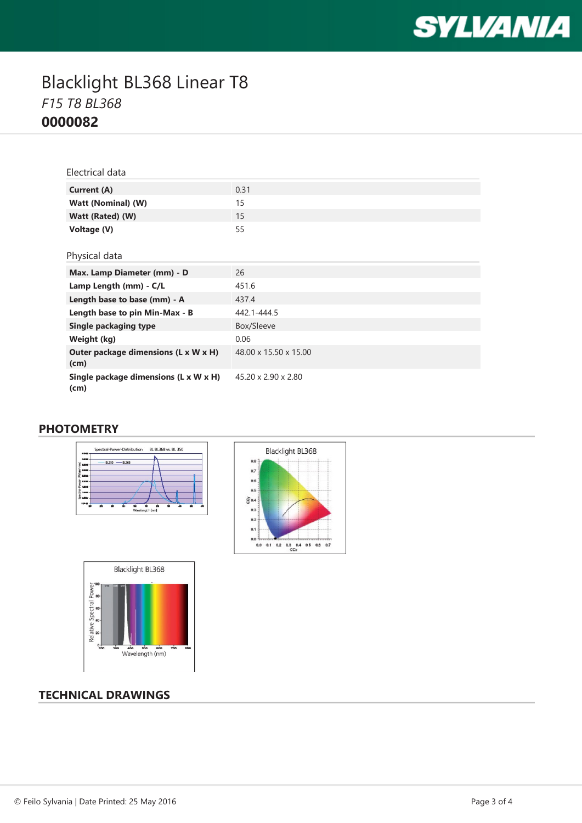

## Blacklight BL368 Linear T8 *F15 T8 BL368* **0000082**

| Electrical data                               |                       |
|-----------------------------------------------|-----------------------|
| Current (A)                                   | 0.31                  |
| Watt (Nominal) (W)                            | 15                    |
| Watt (Rated) (W)                              | 15                    |
| Voltage (V)                                   | 55                    |
|                                               |                       |
| Physical data                                 |                       |
| Max. Lamp Diameter (mm) - D                   | 26                    |
| Lamp Length (mm) - C/L                        | 451.6                 |
| Length base to base (mm) - A                  | 437.4                 |
| Length base to pin Min-Max - B                | 442.1-444.5           |
| Single packaging type                         | Box/Sleeve            |
| Weight (kg)                                   | 0.06                  |
| Outer package dimensions (L x W x H)<br>(cm)  | 48.00 x 15.50 x 15.00 |
| Single package dimensions (L x W x H)<br>(cm) | 45.20 x 2.90 x 2.80   |

#### **PHOTOMETRY**







### **TECHNICAL DRAWINGS**